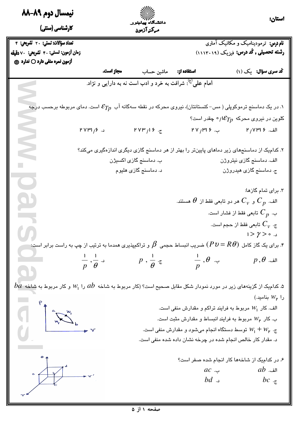| نيمسال دوم ٨٩-٨٨                                                                                                                                                                                                                                                                                                                                    |                                    |                                                                                                                                   |                                                                    | استان:                                                                                                                  |
|-----------------------------------------------------------------------------------------------------------------------------------------------------------------------------------------------------------------------------------------------------------------------------------------------------------------------------------------------------|------------------------------------|-----------------------------------------------------------------------------------------------------------------------------------|--------------------------------------------------------------------|-------------------------------------------------------------------------------------------------------------------------|
| کارشناسی (سنتی)                                                                                                                                                                                                                                                                                                                                     |                                    | ۱۱۱ <sup>۱۷۰</sup><br>دانشگاه پیامنور<br>مركز آزمون                                                                               |                                                                    |                                                                                                                         |
| تعداد سؤالات: تستى: ٢٠ تشريحى: ٢                                                                                                                                                                                                                                                                                                                    |                                    |                                                                                                                                   |                                                                    | <b>نام درس:</b> ترمودینامیک و مکانیک آماری                                                                              |
| زمان أزمون: تستى: ۴۰ تشريحى: √دقيقه                                                                                                                                                                                                                                                                                                                 |                                    |                                                                                                                                   |                                                                    | رشته تحصیلی , کُددرس: فیزیک (۱۱۱۳۰۱۹)                                                                                   |
| آزمون نمره منفي دارد ○ ندارد ۞                                                                                                                                                                                                                                                                                                                      |                                    |                                                                                                                                   |                                                                    |                                                                                                                         |
|                                                                                                                                                                                                                                                                                                                                                     | مجاز است.                          | ماشين حساب                                                                                                                        | استفاده از:                                                        | کُد سری سؤال: یک (۱)                                                                                                    |
|                                                                                                                                                                                                                                                                                                                                                     |                                    | امام علی <sup>9</sup> ؛ شرافت به خرد و ادب است نه به دارایی و نژاد.                                                               |                                                                    |                                                                                                                         |
|                                                                                                                                                                                                                                                                                                                                                     |                                    |                                                                                                                                   |                                                                    |                                                                                                                         |
|                                                                                                                                                                                                                                                                                                                                                     |                                    | د. در یک دماسنج ترموکوپلی ( مس– کنستانتان)، نیروی محرکه در نقطه سهگانه آب $\,\mathcal{E}_{Tp}\,$ است. دمای مربوطه برحسب درجه $\,$ |                                                                    |                                                                                                                         |
|                                                                                                                                                                                                                                                                                                                                                     |                                    |                                                                                                                                   |                                                                    | کلوین در نیروی محرکه $\mathcal{E}_{Tp}$ ا $\gamma$ چقدر است؟                                                            |
|                                                                                                                                                                                                                                                                                                                                                     | $PVPY/5$ د.                        | PVP'/19.5                                                                                                                         |                                                                    | $PV \wedge P$ الف. ١٢٧، ١٢٧                                                                                             |
|                                                                                                                                                                                                                                                                                                                                                     |                                    |                                                                                                                                   |                                                                    |                                                                                                                         |
| Z                                                                                                                                                                                                                                                                                                                                                   |                                    |                                                                                                                                   |                                                                    | ۲. کدامیک از دماسنجهای زیر دماهای پایینتر را بهتر از هر دماسنج گازی دیگری اندازهگیری میکند؟                             |
|                                                                                                                                                                                                                                                                                                                                                     |                                    | ب. دماسنج گازی اکسیژن                                                                                                             |                                                                    | الف. دماسنج گازی نیتروژن                                                                                                |
| $\bullet$                                                                                                                                                                                                                                                                                                                                           |                                    | د. دماسنج گازی هلیوم                                                                                                              |                                                                    | ج. دماسنج گازی هیدروژن                                                                                                  |
|                                                                                                                                                                                                                                                                                                                                                     |                                    |                                                                                                                                   |                                                                    | ۳. برای تمام گازها:                                                                                                     |
| g)                                                                                                                                                                                                                                                                                                                                                  |                                    |                                                                                                                                   |                                                                    | الف. $C_{\overline{\nu}}$ و $C_{\overline{\nu}}$ هر دو تابعی فقط از $\theta$ هستند.                                     |
|                                                                                                                                                                                                                                                                                                                                                     |                                    |                                                                                                                                   |                                                                    | ب. $\,C_{\,p}\,$ تابعی فقط از فشار است.                                                                                 |
|                                                                                                                                                                                                                                                                                                                                                     |                                    |                                                                                                                                   |                                                                    | ج. $C_{\rm \scriptscriptstyle V}$ تابعی فقط از حجم است.                                                                 |
|                                                                                                                                                                                                                                                                                                                                                     |                                    |                                                                                                                                   |                                                                    | $1 > \gamma > 0$ د.                                                                                                     |
|                                                                                                                                                                                                                                                                                                                                                     |                                    |                                                                                                                                   |                                                                    | ۴. برای یک گاز کامل $( P\, \theta)$ ضریب انبساط حجمی $\, \beta \,$ و تراکمپذیری همدما به ترتیب از چپ به راست برابر است: |
|                                                                                                                                                                                                                                                                                                                                                     |                                    |                                                                                                                                   | $p, \frac{1}{\theta}$ c $\frac{1}{p}, \theta$                      | $p\,,\theta$ الف.                                                                                                       |
|                                                                                                                                                                                                                                                                                                                                                     | $\frac{1}{p}, \frac{1}{\theta}$ .s |                                                                                                                                   |                                                                    |                                                                                                                         |
|                                                                                                                                                                                                                                                                                                                                                     |                                    |                                                                                                                                   |                                                                    |                                                                                                                         |
| $ba$ . کدامیک از گزینههای زیر در مورد نمودار شکل مقابل صحیح است؟ (کار مربوط به شاخه $ab$ را $W_1$ و کار مربوط به شاخه $a$                                                                                                                                                                                                                           |                                    |                                                                                                                                   |                                                                    |                                                                                                                         |
|                                                                                                                                                                                                                                                                                                                                                     |                                    |                                                                                                                                   |                                                                    | $(W_{\mathsf{p}})$ را $W_{\mathsf{p}}$ بنامید                                                                           |
|                                                                                                                                                                                                                                                                                                                                                     |                                    |                                                                                                                                   | الف. کار $W_{\mathsf{I}}$ مربوط به فرایند تراکم و مقدارش منفی است. |                                                                                                                         |
|                                                                                                                                                                                                                                                                                                                                                     |                                    |                                                                                                                                   | ب. کار $W_{\mathsf{p}}$ مربوط به فرایند انبساط و مقدارش مثبت است.  |                                                                                                                         |
| $\begin{picture}(120,110) \put(0,0){\line(1,0){155}} \put(15,0){\line(1,0){155}} \put(15,0){\line(1,0){155}} \put(15,0){\line(1,0){155}} \put(15,0){\line(1,0){155}} \put(15,0){\line(1,0){155}} \put(15,0){\line(1,0){155}} \put(15,0){\line(1,0){155}} \put(15,0){\line(1,0){155}} \put(15,0){\line(1,0){155}} \put(15,0){\line(1,0){155$         |                                    |                                                                                                                                   | ی. $W_1+W_\mathsf{p}$ توسط دستگاه انجام میشود و مقدارش منفی است.   |                                                                                                                         |
|                                                                                                                                                                                                                                                                                                                                                     |                                    |                                                                                                                                   | د. مقدار کار خالص انجام شده در چرخه نشان داده شده منفی است.        |                                                                                                                         |
|                                                                                                                                                                                                                                                                                                                                                     |                                    |                                                                                                                                   |                                                                    | ۶. در کدامیک از شاخهها کار انجام شده صفر است؟                                                                           |
|                                                                                                                                                                                                                                                                                                                                                     |                                    |                                                                                                                                   | $ac$                                                               | $ab$ الف.                                                                                                               |
|                                                                                                                                                                                                                                                                                                                                                     |                                    |                                                                                                                                   | $bd$ . $\Box$                                                      | bc $\cdot$                                                                                                              |
| $\begin{picture}(180,10) \put(0,0){\line(1,0){10}} \put(10,0){\line(1,0){10}} \put(10,0){\line(1,0){10}} \put(10,0){\line(1,0){10}} \put(10,0){\line(1,0){10}} \put(10,0){\line(1,0){10}} \put(10,0){\line(1,0){10}} \put(10,0){\line(1,0){10}} \put(10,0){\line(1,0){10}} \put(10,0){\line(1,0){10}} \put(10,0){\line(1,0){10}} \put(10,0){\line($ |                                    |                                                                                                                                   |                                                                    |                                                                                                                         |
|                                                                                                                                                                                                                                                                                                                                                     |                                    |                                                                                                                                   |                                                                    |                                                                                                                         |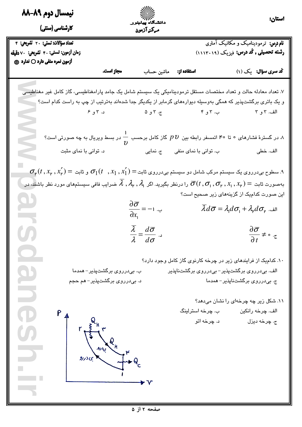| نیمسال دوم ۸۹-۸۸                                                                                                                                                            |                                                          |                                                                                                                                                                                   | استان:                                                                  |
|-----------------------------------------------------------------------------------------------------------------------------------------------------------------------------|----------------------------------------------------------|-----------------------------------------------------------------------------------------------------------------------------------------------------------------------------------|-------------------------------------------------------------------------|
| کارشناسی (سنتی)                                                                                                                                                             | مركز آزمون                                               |                                                                                                                                                                                   |                                                                         |
| تعداد سؤالات: تستى: ٢٠ تشريحى: ٢                                                                                                                                            |                                                          |                                                                                                                                                                                   | <b>نام درس:</b> ترمودینامیک و مکانیک آماری                              |
| زمان أزمون: تستى: ۴۰ تشريحي: ∨دقيقه                                                                                                                                         |                                                          |                                                                                                                                                                                   | رشته تحصیلی , کُد درس: فیزیک (۱۱۱۳۰۱۹)                                  |
| أزمون نمره منفي دارد ○ ندارد ۞<br>مجاز است.                                                                                                                                 | ماشين حساب                                               | استفاده از:                                                                                                                                                                       | کُد سری سؤال: یک (۱)                                                    |
|                                                                                                                                                                             |                                                          |                                                                                                                                                                                   |                                                                         |
| ۷. تعداد معادله حالت و تعداد مختصات مستقل ترمودینامیکی یک سیستم شامل یک جامد پارامغناطیسی، گاز کامل غیر مغناطیسی                                                            |                                                          |                                                                                                                                                                                   |                                                                         |
| و یک باتری برگشتپذیر که همگی بهوسیله دیواردهای گرمابر از یکدیگر جدا شدهاند بهترتیب از چپ به راست کدام است؟                                                                  |                                                          |                                                                                                                                                                                   |                                                                         |
|                                                                                                                                                                             |                                                          | الف ۳و ۲ به ۳و ۴ سمع تر ۳و ۵ سمع د ۳و ۶ سمع است د سر ۳و ۴ سمع است د سر ۳و ۴ سمع است که د سر ۳و ۱۳و ش                                                                              |                                                                         |
|                                                                                                                                                                             |                                                          |                                                                                                                                                                                   |                                                                         |
| . در گسترهٔ فشارهای ۰ تا ۴۰ اتمسفر رابطه بین $p$ گاز کامل برحسب $\frac{1}{n}$ در بسط ویریال به چه صورتی است؟                                                                |                                                          |                                                                                                                                                                                   |                                                                         |
| د. توانی با نمای مثبت                                                                                                                                                       | ب. توانی با نمای منفی مسمع ج. نمایی                      |                                                                                                                                                                                   | الف. خطي                                                                |
| $\sigma_{_{\rm I\!P}}(t\,,x_{_{\rm I\!P}},x_{_{\rm I\!P}}')=\sigma_{\rm I}(t\, \,,x_{\rm I}\,,x_{\rm I}^\prime)$ ۹. سطوح بیدرروی یک سیستم مرکب شامل دو سیستم بیدرروی ثابت   |                                                          |                                                                                                                                                                                   |                                                                         |
| بهصورت ثابت $\sigma_1,\sigma_1,\sigma_1,\sigma_1,\sigma_1,\sigma_1,\sigma_1$ را درنظر بگیرید. اگر $\lambda$ , $\lambda_\mathsf{p}$ , ضرایب فافی سیستمهای مورد نظر باشنه، در |                                                          |                                                                                                                                                                                   |                                                                         |
|                                                                                                                                                                             |                                                          |                                                                                                                                                                                   | این صورت کدامیک از گزینههای زیر صحیح است؟                               |
|                                                                                                                                                                             | $\frac{\partial \overline{\sigma}}{\partial x_1} = -1$ . | $\overline{\lambda}d\overline{\sigma}=\lambda_{\!\scriptscriptstyle{1}}d\sigma_{\!\scriptscriptstyle{1}}+\lambda_{\!\scriptscriptstyle{p}}d\sigma_{\!\scriptscriptstyle{p}}$ الف. |                                                                         |
|                                                                                                                                                                             | $\overline{\lambda}$ $d\overline{\sigma}$                |                                                                                                                                                                                   |                                                                         |
|                                                                                                                                                                             | $\overline{\lambda} = \overline{d\sigma}$ .              |                                                                                                                                                                                   | $\frac{\partial \overline{\sigma}}{\partial t} \neq \circ \cdot \sigma$ |
|                                                                                                                                                                             |                                                          |                                                                                                                                                                                   |                                                                         |
|                                                                                                                                                                             |                                                          | ۱۰. کدامیک از فرایندهای زیر در چرخه کارنوی گاز کامل وجود دارد؟                                                                                                                    |                                                                         |
| ب. بیدرروی برگشتپذیر– همدما                                                                                                                                                 |                                                          | الف. بیدرروی برگشتپذیر– بیدرروی برگشتناپذیر                                                                                                                                       |                                                                         |
| د. بیدرروی برگشتپذیر– هم حجم                                                                                                                                                |                                                          |                                                                                                                                                                                   | ج. بىدرروى برگشتناپذير– همدما                                           |
|                                                                                                                                                                             |                                                          |                                                                                                                                                                                   | ۱۱. شکل زیر چه چرخهای را نشان میدهد؟                                    |
|                                                                                                                                                                             |                                                          | ب. چرخه استرلینگ                                                                                                                                                                  | الف. چرخه رانکين                                                        |
|                                                                                                                                                                             |                                                          | د. چرخه اتو                                                                                                                                                                       | ج. چرخه دیزل                                                            |
|                                                                                                                                                                             |                                                          |                                                                                                                                                                                   |                                                                         |
|                                                                                                                                                                             |                                                          |                                                                                                                                                                                   |                                                                         |
|                                                                                                                                                                             |                                                          |                                                                                                                                                                                   |                                                                         |
|                                                                                                                                                                             |                                                          |                                                                                                                                                                                   |                                                                         |
|                                                                                                                                                                             |                                                          |                                                                                                                                                                                   |                                                                         |
|                                                                                                                                                                             |                                                          |                                                                                                                                                                                   |                                                                         |
|                                                                                                                                                                             |                                                          |                                                                                                                                                                                   |                                                                         |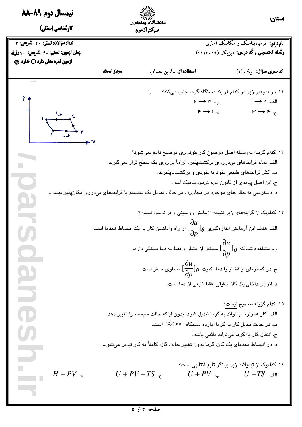| نیمسال دوم ۸۹-۸۸                                                                                                                                                                                                                                                                                                                             |                                                                                                 | \\\\\\``<br>دانشگاه پیامنور    |                                                                                                                    | استان:                                                                  |
|----------------------------------------------------------------------------------------------------------------------------------------------------------------------------------------------------------------------------------------------------------------------------------------------------------------------------------------------|-------------------------------------------------------------------------------------------------|--------------------------------|--------------------------------------------------------------------------------------------------------------------|-------------------------------------------------------------------------|
| کارشناسی (سنتی)                                                                                                                                                                                                                                                                                                                              |                                                                                                 | مركز آزمون                     |                                                                                                                    |                                                                         |
| تعداد سؤالات: تستى: ٢٠ تشريحى: ٢                                                                                                                                                                                                                                                                                                             |                                                                                                 |                                |                                                                                                                    | <b>نام درس:</b> ترمودینامیک و مکانیک آماری                              |
| زمان أزمون: تستى: ۴۰ تشريحي: √دقيقه                                                                                                                                                                                                                                                                                                          |                                                                                                 |                                |                                                                                                                    | رشته تحصیلی , کُد درس: فیزیک (۱۱۱۳۰۱۹)                                  |
| آزمون نمره منفي دارد ○ ندارد ۞                                                                                                                                                                                                                                                                                                               | مجاز است.                                                                                       | ا <b>ستفاده از:</b> ماشین حساب |                                                                                                                    | کُد سری سؤال: یک (۱)                                                    |
|                                                                                                                                                                                                                                                                                                                                              |                                                                                                 |                                |                                                                                                                    |                                                                         |
|                                                                                                                                                                                                                                                                                                                                              |                                                                                                 |                                |                                                                                                                    | ۱۲. در نمودار زیر در کدام فرایند دستگاه گرما جذب میکند؟                 |
|                                                                                                                                                                                                                                                                                                                                              |                                                                                                 |                                | ب. ۳ $\rightarrow$ ۳                                                                                               | $\rightarrow$ الف. $\rightarrow$ ا                                      |
| $\begin{picture}(180,10) \put(0,0){\line(1,0){155}} \put(10,0){\line(1,0){155}} \put(10,0){\line(1,0){155}} \put(10,0){\line(1,0){155}} \put(10,0){\line(1,0){155}} \put(10,0){\line(1,0){155}} \put(10,0){\line(1,0){155}} \put(10,0){\line(1,0){155}} \put(10,0){\line(1,0){155}} \put(10,0){\line(1,0){155}} \put(10,0){\line(1,0){155}}$ |                                                                                                 |                                | $\kappa \rightarrow \kappa$ د. ا                                                                                   | $\mu \rightarrow \kappa$ .                                              |
|                                                                                                                                                                                                                                                                                                                                              |                                                                                                 |                                |                                                                                                                    | ۱۳. کدام گزینه بهوسیله اصل موضوع کاراتئودوری توضیح داده نمیشود؟         |
|                                                                                                                                                                                                                                                                                                                                              |                                                                                                 |                                | الف. تمام فرایندهای بیدرروی برگشتپذیر، الزاماً بر روی یک سطح قرار نمیگیرند.                                        |                                                                         |
|                                                                                                                                                                                                                                                                                                                                              |                                                                                                 |                                | ب. اکثر فرایندهای طبیعی خود به خودی و برگشتناپذیرند.                                                               |                                                                         |
|                                                                                                                                                                                                                                                                                                                                              |                                                                                                 |                                | ج. این اصل پیامدی از قانون دوم ترمودینامیک است.                                                                    |                                                                         |
|                                                                                                                                                                                                                                                                                                                                              | د. دسترسی به حالتهای موجود در مجاورت هر حالت تعادل یک سیستم با فرایندهای بیدررو امکانپذیر نیست. |                                |                                                                                                                    |                                                                         |
|                                                                                                                                                                                                                                                                                                                                              |                                                                                                 |                                |                                                                                                                    | ۱۴. کدامیک از گزینههای زیر نتیجه آزمایش روسینی و فراندسن ن <u>یست</u> ؟ |
|                                                                                                                                                                                                                                                                                                                                              |                                                                                                 |                                | الف. هدف این آزمایش اندازهگیری $\frac{\partial u}{\partial p} ]_\theta$ از راه واداشتن گاز به یک انبساط همدما است. |                                                                         |
|                                                                                                                                                                                                                                                                                                                                              |                                                                                                 |                                | ب. مشاهده شد که $[\frac{du}{\partial p}]_\theta$ مستقل از فشار و فقط به دما بستگی دارد.                            |                                                                         |
| $\boldsymbol{a}$                                                                                                                                                                                                                                                                                                                             |                                                                                                 |                                | ج. در گسترهای از فشار یا دما، کمیت $\frac{\partial u}{\partial p} ]_\theta$ مساوی صفر است.                         |                                                                         |
| $\overline{\phantom{0}}$                                                                                                                                                                                                                                                                                                                     |                                                                                                 |                                | د. انرژی داخلی یک گاز حقیقی، فقط تابعی از دما است.                                                                 |                                                                         |
|                                                                                                                                                                                                                                                                                                                                              |                                                                                                 |                                |                                                                                                                    | ۰۱۵ کدام گزینه صحیح ن <u>ی</u> ست؟                                      |
| $\bullet$                                                                                                                                                                                                                                                                                                                                    |                                                                                                 |                                | الف. کار همواره میتواند به گرما تبدیل شود، بدون اینکه حالت سیستم را تغییر دهد.                                     |                                                                         |
|                                                                                                                                                                                                                                                                                                                                              |                                                                                                 |                                | ب. در حالت تبدیل کار به گرما، بازده دستگاه $\hspace{0.1 cm} \%$ است.                                               |                                                                         |
|                                                                                                                                                                                                                                                                                                                                              |                                                                                                 |                                |                                                                                                                    | ج. انتقال کار به گرما میتواند دائمی باشد.                               |
|                                                                                                                                                                                                                                                                                                                                              |                                                                                                 |                                | د. در انبساط همدمای یک گاز، گرما بدون تغییر حالت گاز، کاملاً به کار تبدیل میشود.                                   |                                                                         |
|                                                                                                                                                                                                                                                                                                                                              |                                                                                                 |                                |                                                                                                                    | ۱۶. کدامیک از تبدیلات زیر بیانگر تابع آنتالپی است؟                      |
| $H+PV$ د.                                                                                                                                                                                                                                                                                                                                    |                                                                                                 | $U + PV - TS$ .                |                                                                                                                    | $U + PV$ الف. $U - TS$ .                                                |
|                                                                                                                                                                                                                                                                                                                                              |                                                                                                 |                                |                                                                                                                    |                                                                         |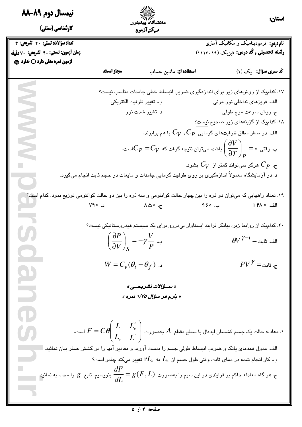| نیمسال دوم ۸۹-۸۸                                                                                                            |                                                                        | ۱۱۱۱۷۰/<br>دانشگاه پیامنور    |                                                                                                                                       | استان:                                                                                                                                   |
|-----------------------------------------------------------------------------------------------------------------------------|------------------------------------------------------------------------|-------------------------------|---------------------------------------------------------------------------------------------------------------------------------------|------------------------------------------------------------------------------------------------------------------------------------------|
| کارشناسی (سنتی)                                                                                                             |                                                                        | مركز آزمون                    |                                                                                                                                       |                                                                                                                                          |
| تعداد سؤالات: تستى: ٢٠ تشريحى: ٢                                                                                            |                                                                        |                               |                                                                                                                                       | <mark>نام درس: ترمودینامیک و مکانیک آماری</mark>                                                                                         |
| زمان أزمون: تستى: ۴۰ تشريحي: ∨دقيقه                                                                                         |                                                                        |                               |                                                                                                                                       | رشته تحصیلی , کُد درس: فیزیک (۱۱۱۳۰۱۹)                                                                                                   |
| آزمون نمره منفي دارد ○ ندارد ۞                                                                                              | مجاز است.                                                              | <b>استفاده از:</b> ماشین حساب |                                                                                                                                       | کُد سری سؤال: یک (۱)                                                                                                                     |
|                                                                                                                             |                                                                        |                               |                                                                                                                                       |                                                                                                                                          |
| Ź                                                                                                                           |                                                                        |                               |                                                                                                                                       | ۱۷. کدامیک از روشهای زیر برای اندازهگیری ضریب انبساط خطی جامدات مناسب نیست؟                                                              |
|                                                                                                                             |                                                                        | ب. تغيير ظرفيت الكتريكي       | الف. فریزهای تداخلی نور مرئی                                                                                                          |                                                                                                                                          |
|                                                                                                                             |                                                                        | د. تغییر شدت نور              |                                                                                                                                       | ج. روش سرعت موج طولی                                                                                                                     |
|                                                                                                                             |                                                                        |                               |                                                                                                                                       | ۱۸. کدامیک از گزینههای زیر صحیح نیست؟                                                                                                    |
|                                                                                                                             |                                                                        |                               | الف. در صفر مطلق ظرفیتهای گرمایی $C_P\, ,C_P$ با هم برابرند.                                                                          |                                                                                                                                          |
| $\leq$                                                                                                                      |                                                                        |                               | ب. وقتی $\left.\circ\right.=\frac{\partial V}{\partial T}\right _P=C_V$ ب. وقتی $\left(\frac{\partial V}{\partial T}\right)_P=0$ است. |                                                                                                                                          |
|                                                                                                                             |                                                                        |                               |                                                                                                                                       |                                                                                                                                          |
|                                                                                                                             |                                                                        |                               |                                                                                                                                       | ی. $C_P$ هرگز نمیتواند کمتر از $V_V$ بشود.                                                                                               |
|                                                                                                                             |                                                                        |                               | د. در آزمایشگاه معمولاً اندازهگیری بر روی ظرفیت گرمایی جامدات و مایعات در حجم ثابت انجام میگیرد.                                      |                                                                                                                                          |
| ۱۹. تعداد راههایی که میتوان دو ذره را بین چهار حالت کوانتومی و سه ذره را بین دو حالت کوانتومی توزیع نمود، کدام است؟         |                                                                        |                               |                                                                                                                                       |                                                                                                                                          |
|                                                                                                                             |                                                                        |                               | الف. ١٣٨٥ - ب. ٩ <mark>۶٥ - ج. ٨۵٥ - ج. ٢٥٥ - د. ٢٩٥</mark>                                                                           |                                                                                                                                          |
|                                                                                                                             |                                                                        |                               |                                                                                                                                       |                                                                                                                                          |
|                                                                                                                             |                                                                        |                               |                                                                                                                                       | ۲۰. کدام <sub>ل</sub> ک از روابط زیر، بیانگر فرایند ایستاوار بیدررو برای یک سیستم هیدروستاتیکی ن <u>یست</u> ؟                            |
|                                                                                                                             | $\left(\frac{\partial P}{\partial V}\right)_{S} = -\gamma \frac{V}{P}$ |                               |                                                                                                                                       | $\theta V^{\gamma-1}$ الف. ثابت $^=$                                                                                                     |
| $\bullet$                                                                                                                   |                                                                        |                               |                                                                                                                                       |                                                                                                                                          |
|                                                                                                                             | $W = C_v(\theta_i - \theta_f)$                                         |                               |                                                                                                                                       | $PV^{\gamma} = \frac{1}{\gamma}$ . ثابت                                                                                                  |
| $\boldsymbol{\omega}$                                                                                                       |                                                                        |                               |                                                                                                                                       |                                                                                                                                          |
|                                                                                                                             |                                                                        | « ســؤالات تشريحــى »         |                                                                                                                                       |                                                                                                                                          |
| $\Box$                                                                                                                      |                                                                        | « بارم هر سؤال ۱/۷۵ نمره »    |                                                                                                                                       |                                                                                                                                          |
|                                                                                                                             |                                                                        |                               |                                                                                                                                       |                                                                                                                                          |
| $\bigodot$                                                                                                                  |                                                                        |                               |                                                                                                                                       |                                                                                                                                          |
| <b>CA</b>                                                                                                                   |                                                                        |                               |                                                                                                                                       | ا. معادله حالت یک جسم کشسان ایدهال با سطح مقطع $A$ بهصورت $\displaystyle\left(\frac{L}{L_{\circ}}\!-\!\frac{L^{''}}{L^{''}}\right)$ است. |
|                                                                                                                             |                                                                        |                               | الف. مدول همدمای یانگ و ضریب انبساط طولی جسم را بدست آورید و مقادیر آنها را در کشش صفر بیان نمائید.                                   |                                                                                                                                          |
|                                                                                                                             |                                                                        |                               | ب. کار انجام شده در دمای ثابت وقتی طول جسم از $L_\circ$ به $L_\circ$ ۲ تغییر میکند چقدر است؟                                          |                                                                                                                                          |
| . هر گاه معادله حاکم بر فرایندی در این سیم را بهصورت $g\left(F,L\right)=\dfrac{dF}{dL}$ بنویسیم، تابع $g$ را محاسبه نمائید. |                                                                        |                               |                                                                                                                                       |                                                                                                                                          |
|                                                                                                                             |                                                                        |                               |                                                                                                                                       |                                                                                                                                          |
|                                                                                                                             |                                                                        |                               |                                                                                                                                       |                                                                                                                                          |
|                                                                                                                             |                                                                        |                               |                                                                                                                                       |                                                                                                                                          |